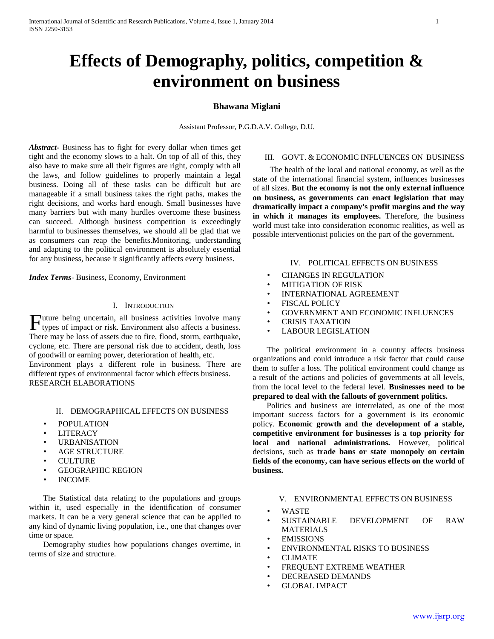# **Effects of Demography, politics, competition & environment on business**

## **Bhawana Miglani**

Assistant Professor, P.G.D.A.V. College, D.U.

*Abstract***-** Business has to fight for every dollar when times get tight and the economy slows to a halt. On top of all of this, they also have to make sure all their figures are right, comply with all the laws, and follow guidelines to properly maintain a legal business. Doing all of these tasks can be difficult but are manageable if a small business takes the right paths, makes the right decisions, and works hard enough. Small businesses have many barriers but with many hurdles overcome these business can succeed. Although business competition is exceedingly harmful to businesses themselves, we should all be glad that we as consumers can reap the benefits.Monitoring, understanding and adapting to the political environment is absolutely essential for any business, because it significantly affects every business.

*Index Terms*- Business, Economy, Environment

#### I. INTRODUCTION

uture being uncertain, all business activities involve many Future being uncertain, all business activities involve many types of impact or risk. Environment also affects a business. There may be loss of assets due to fire, flood, storm, earthquake, cyclone, etc. There are personal risk due to accident, death, loss of goodwill or earning power, deterioration of health, etc.

Environment plays a different role in business. There are different types of environmental factor which effects business. RESEARCH ELABORATIONS

## II. DEMOGRAPHICAL EFFECTS ON BUSINESS

- POPULATION
- **LITERACY**
- **URBANISATION**
- AGE STRUCTURE
- CULTURE
- GEOGRAPHIC REGION
- INCOME

 The Statistical data relating to the populations and groups within it, used especially in the identification of consumer markets. It can be a very general science that can be applied to any kind of dynamic living population, i.e., one that changes over time or space.

 Demography studies how populations changes overtime, in terms of size and structure.

#### III. GOVT. & ECONOMIC INFLUENCES ON BUSINESS

 The health of the local and national economy, as well as the state of the international financial system, influences businesses of all sizes. **But the economy is not the only external influence on business, as governments can enact legislation that may dramatically impact a company's profit margins and the way in which it manages its employees.** Therefore, the business world must take into consideration economic realities, as well as possible interventionist policies on the part of the government*.*

#### IV. POLITICAL EFFECTS ON BUSINESS

- CHANGES IN REGULATION
- MITIGATION OF RISK
- INTERNATIONAL AGREEMENT
- FISCAL POLICY
- GOVERNMENT AND ECONOMIC INFLUENCES
- CRISIS TAXATION
- LABOUR LEGISLATION

 The political environment in a country affects business organizations and could introduce a risk factor that could cause them to suffer a loss. The political environment could change as a result of the actions and policies of governments at all levels, from the local level to the federal level. **Businesses need to be prepared to deal with the fallouts of government politics.**

 Politics and business are interrelated, as one of the most important success factors for a government is its economic policy. **Economic growth and the development of a stable, competitive environment for businesses is a top priority for local and national administrations.** However, political decisions, such as **trade bans or state monopoly on certain fields of the economy, can have serious effects on the world of business.**

#### V. ENVIRONMENTAL EFFECTS ON BUSINESS

- WASTE
- SUSTAINABLE DEVELOPMENT OF RAW MATERIALS
- **EMISSIONS**
- ENVIRONMENTAL RISKS TO BUSINESS
- CLIMATE
- FREQUENT EXTREME WEATHER
- DECREASED DEMANDS
- **GLOBAL IMPACT**